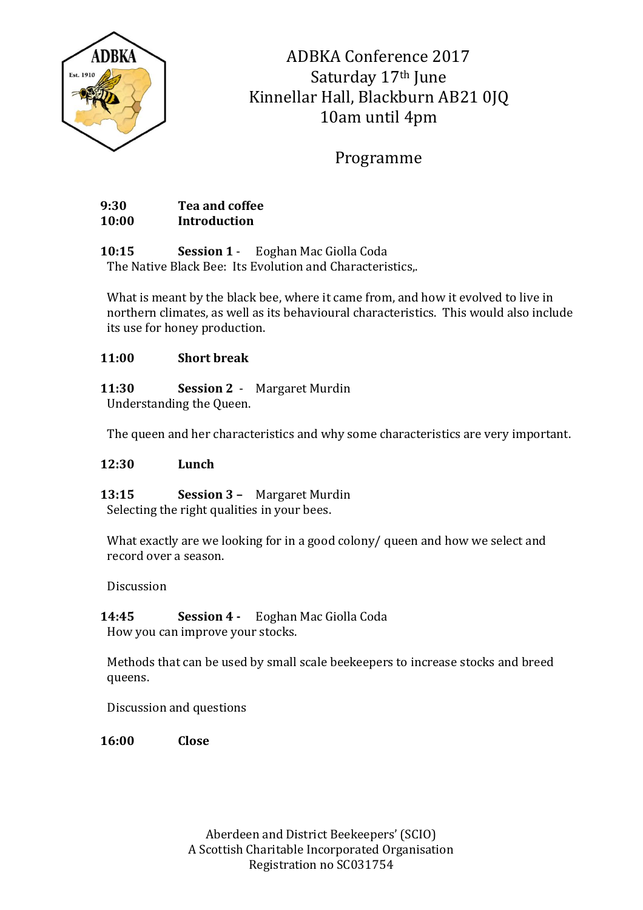

ADBKA Conference 2017 Saturday 17<sup>th</sup> June Kinnellar Hall, Blackburn AB21 0JQ 10am until 4pm

Programme

**9:30 Tea and coffee 10:00 Introduction**

**10:15 Session 1** - Eoghan Mac Giolla Coda The Native Black Bee: Its Evolution and Characteristics,.

What is meant by the black bee, where it came from, and how it evolved to live in northern climates, as well as its behavioural characteristics. This would also include its use for honey production.

## **11:00 Short break**

**11:30 Session 2** - Margaret Murdin Understanding the Queen.

The queen and her characteristics and why some characteristics are very important.

## **12:30 Lunch**

**13:15 Session 3 –** Margaret Murdin Selecting the right qualities in your bees.

What exactly are we looking for in a good colony/ queen and how we select and record over a season.

Discussion

**14:45 Session 4 -** Eoghan Mac Giolla Coda How you can improve your stocks.

Methods that can be used by small scale beekeepers to increase stocks and breed queens.

Discussion and questions

**16:00 Close**

Aberdeen and District Beekeepers' (SCIO) A Scottish Charitable Incorporated Organisation Registration no SC031754